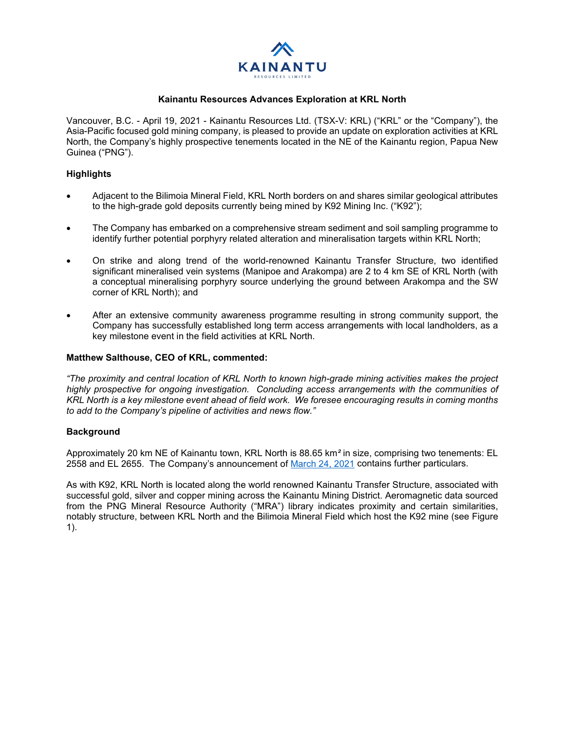

## **Kainantu Resources Advances Exploration at KRL North**

Vancouver, B.C. - April 19, 2021 - Kainantu Resources Ltd. (TSX-V: KRL) ("KRL" or the "Company"), the Asia-Pacific focused gold mining company, is pleased to provide an update on exploration activities at KRL North, the Company's highly prospective tenements located in the NE of the Kainantu region, Papua New Guinea ("PNG").

# **Highlights**

- Adjacent to the Bilimoia Mineral Field, KRL North borders on and shares similar geological attributes to the high-grade gold deposits currently being mined by K92 Mining Inc. ("K92");
- The Company has embarked on a comprehensive stream sediment and soil sampling programme to identify further potential porphyry related alteration and mineralisation targets within KRL North;
- On strike and along trend of the world-renowned Kainantu Transfer Structure, two identified significant mineralised vein systems (Manipoe and Arakompa) are 2 to 4 km SE of KRL North (with a conceptual mineralising porphyry source underlying the ground between Arakompa and the SW corner of KRL North); and
- After an extensive community awareness programme resulting in strong community support, the Company has successfully established long term access arrangements with local landholders, as a key milestone event in the field activities at KRL North.

#### **Matthew Salthouse, CEO of KRL, commented:**

*"The proximity and central location of KRL North to known high-grade mining activities makes the project highly prospective for ongoing investigation. Concluding access arrangements with the communities of KRL North is a key milestone event ahead of field work. We foresee encouraging results in coming months to add to the Company's pipeline of activities and news flow."* 

## **Background**

Approximately 20 km NE of Kainantu town, KRL North is 88.65 km*²* in size, comprising two tenements: EL 2558 and EL 2655. The Company's announcement of [March 24, 2021](https://www.kainanturesources.com/news/news-releases/consolidation-of-exploration-rights-and-additional-exploration-rights-granted) contains further particulars.

As with K92, KRL North is located along the world renowned Kainantu Transfer Structure, associated with successful gold, silver and copper mining across the Kainantu Mining District. Aeromagnetic data sourced from the PNG Mineral Resource Authority ("MRA") library indicates proximity and certain similarities, notably structure, between KRL North and the Bilimoia Mineral Field which host the K92 mine (see Figure 1).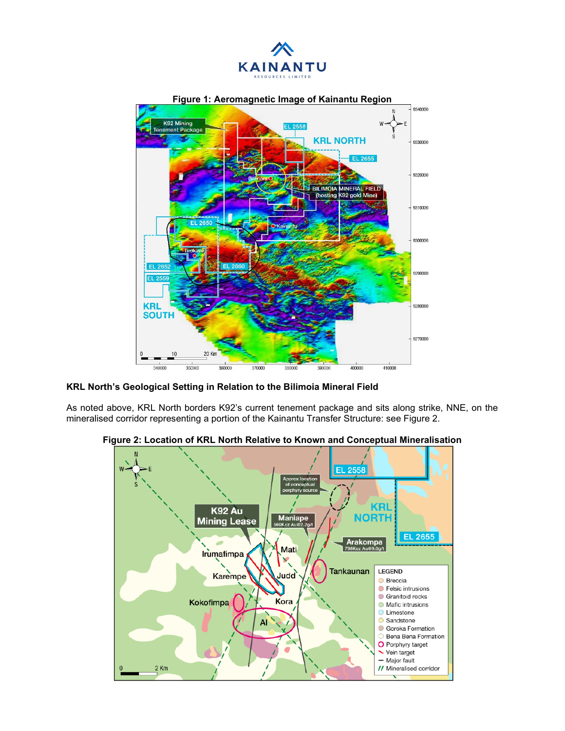



**KRL North's Geological Setting in Relation to the Bilimoia Mineral Field**

As noted above, KRL North borders K92's current tenement package and sits along strike, NNE, on the mineralised corridor representing a portion of the Kainantu Transfer Structure: see Figure 2.



**Figure 2: Location of KRL North Relative to Known and Conceptual Mineralisation**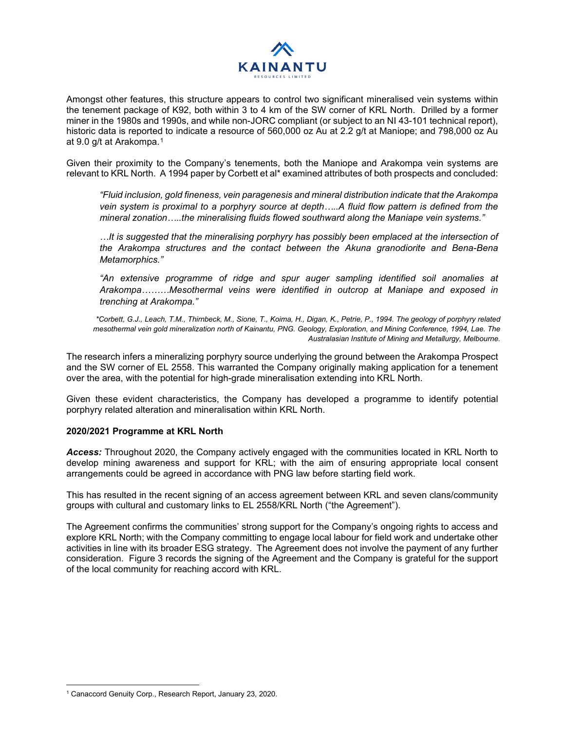

Amongst other features, this structure appears to control two significant mineralised vein systems within the tenement package of K92, both within 3 to 4 km of the SW corner of KRL North. Drilled by a former miner in the 1980s and 1990s, and while non-JORC compliant (or subject to an NI 43-101 technical report), historic data is reported to indicate a resource of 560,000 oz Au at 2.2 g/t at Maniope; and 798,000 oz Au at 9.0 g/t at Arakompa.[1](#page-2-0)

Given their proximity to the Company's tenements, both the Maniope and Arakompa vein systems are relevant to KRL North. A 1994 paper by Corbett et al\* examined attributes of both prospects and concluded:

*"Fluid inclusion, gold fineness, vein paragenesis and mineral distribution indicate that the Arakompa vein system is proximal to a porphyry source at depth…..A fluid flow pattern is defined from the mineral zonation…..the mineralising fluids flowed southward along the Maniape vein systems."* 

*…It is suggested that the mineralising porphyry has possibly been emplaced at the intersection of the Arakompa structures and the contact between the Akuna granodiorite and Bena-Bena Metamorphics."*

*"An extensive programme of ridge and spur auger sampling identified soil anomalies at Arakompa………Mesothermal veins were identified in outcrop at Maniape and exposed in trenching at Arakompa."*

*\*Corbett, G.J., Leach, T.M., Thirnbeck, M., Sione, T., Koima, H., Digan, K., Petrie, P., 1994. The geology of porphyry related mesothermal vein gold mineralization north of Kainantu, PNG. Geology, Exploration, and Mining Conference, 1994, Lae. The Australasian Institute of Mining and Metallurgy, Melbourne.*

The research infers a mineralizing porphyry source underlying the ground between the Arakompa Prospect and the SW corner of EL 2558. This warranted the Company originally making application for a tenement over the area, with the potential for high-grade mineralisation extending into KRL North.

Given these evident characteristics, the Company has developed a programme to identify potential porphyry related alteration and mineralisation within KRL North.

## **2020/2021 Programme at KRL North**

*Access:* Throughout 2020, the Company actively engaged with the communities located in KRL North to develop mining awareness and support for KRL; with the aim of ensuring appropriate local consent arrangements could be agreed in accordance with PNG law before starting field work.

This has resulted in the recent signing of an access agreement between KRL and seven clans/community groups with cultural and customary links to EL 2558/KRL North ("the Agreement").

The Agreement confirms the communities' strong support for the Company's ongoing rights to access and explore KRL North; with the Company committing to engage local labour for field work and undertake other activities in line with its broader ESG strategy. The Agreement does not involve the payment of any further consideration. Figure 3 records the signing of the Agreement and the Company is grateful for the support of the local community for reaching accord with KRL.

<span id="page-2-0"></span><sup>1</sup> Canaccord Genuity Corp., Research Report, January 23, 2020.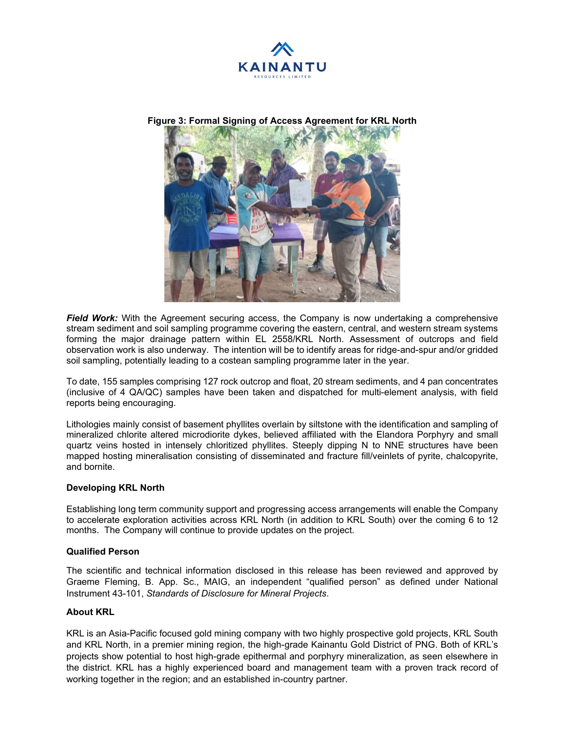

**Figure 3: Formal Signing of Access Agreement for KRL North**



*Field Work:* With the Agreement securing access, the Company is now undertaking a comprehensive stream sediment and soil sampling programme covering the eastern, central, and western stream systems forming the major drainage pattern within EL 2558/KRL North. Assessment of outcrops and field observation work is also underway. The intention will be to identify areas for ridge-and-spur and/or gridded soil sampling, potentially leading to a costean sampling programme later in the year.

To date, 155 samples comprising 127 rock outcrop and float, 20 stream sediments, and 4 pan concentrates (inclusive of 4 QA/QC) samples have been taken and dispatched for multi-element analysis, with field reports being encouraging.

Lithologies mainly consist of basement phyllites overlain by siltstone with the identification and sampling of mineralized chlorite altered microdiorite dykes, believed affiliated with the Elandora Porphyry and small quartz veins hosted in intensely chloritized phyllites. Steeply dipping N to NNE structures have been mapped hosting mineralisation consisting of disseminated and fracture fill/veinlets of pyrite, chalcopyrite, and bornite.

## **Developing KRL North**

Establishing long term community support and progressing access arrangements will enable the Company to accelerate exploration activities across KRL North (in addition to KRL South) over the coming 6 to 12 months. The Company will continue to provide updates on the project.

#### **Qualified Person**

The scientific and technical information disclosed in this release has been reviewed and approved by Graeme Fleming, B. App. Sc., MAIG, an independent "qualified person" as defined under National Instrument 43-101, *Standards of Disclosure for Mineral Projects*.

## **About KRL**

KRL is an Asia-Pacific focused gold mining company with two highly prospective gold projects, KRL South and KRL North, in a premier mining region, the high-grade Kainantu Gold District of PNG. Both of KRL's projects show potential to host high-grade epithermal and porphyry mineralization, as seen elsewhere in the district. KRL has a highly experienced board and management team with a proven track record of working together in the region; and an established in-country partner.